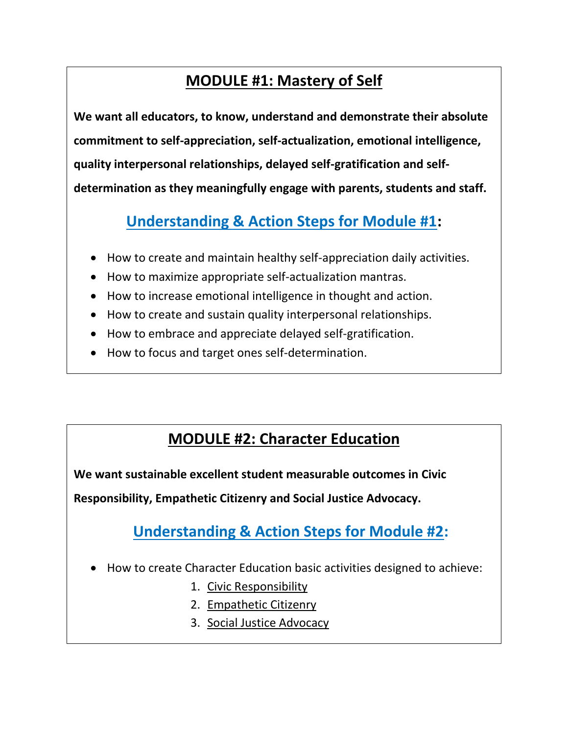# **MODULE #1: Mastery of Self**

**We want all educators, to know, understand and demonstrate their absolute commitment to self-appreciation, self-actualization, emotional intelligence, quality interpersonal relationships, delayed self-gratification and selfdetermination as they meaningfully engage with parents, students and staff.**

# **Understanding & Action Steps for Module #1:**

- How to create and maintain healthy self-appreciation daily activities.
- How to maximize appropriate self-actualization mantras.
- How to increase emotional intelligence in thought and action.
- How to create and sustain quality interpersonal relationships.
- How to embrace and appreciate delayed self-gratification.
- How to focus and target ones self-determination.

#### **MODULE #2: Character Education**

**We want sustainable excellent student measurable outcomes in Civic** 

**Responsibility, Empathetic Citizenry and Social Justice Advocacy.**

**Understanding & Action Steps for Module #2:**

- How to create Character Education basic activities designed to achieve:
	- 1. Civic Responsibility
	- 2. Empathetic Citizenry
	- 3. Social Justice Advocacy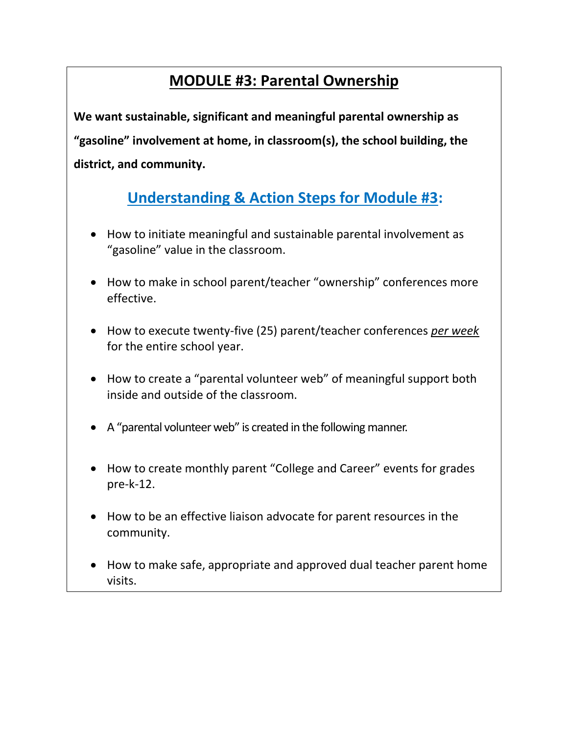## **MODULE #3: Parental Ownership**

**We want sustainable, significant and meaningful parental ownership as "gasoline" involvement at home, in classroom(s), the school building, the district, and community.**

# **Understanding & Action Steps for Module #3:**

- How to initiate meaningful and sustainable parental involvement as "gasoline" value in the classroom.
- How to make in school parent/teacher "ownership" conferences more effective.
- How to execute twenty-five (25) parent/teacher conferences *per week* for the entire school year.
- How to create a "parental volunteer web" of meaningful support both inside and outside of the classroom.
- A "parental volunteer web" is created in the following manner.
- How to create monthly parent "College and Career" events for grades pre-k-12.
- How to be an effective liaison advocate for parent resources in the community.
- How to make safe, appropriate and approved dual teacher parent home visits.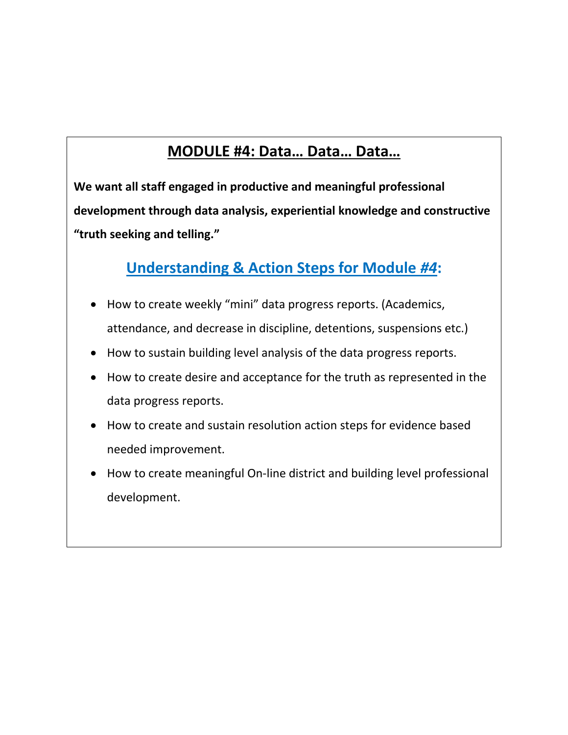# **MODULE #4: Data… Data… Data…**

**We want all staff engaged in productive and meaningful professional development through data analysis, experiential knowledge and constructive "truth seeking and telling."**

# **Understanding & Action Steps for Module** *#4***:**

- How to create weekly "mini" data progress reports. (Academics, attendance, and decrease in discipline, detentions, suspensions etc.)
- How to sustain building level analysis of the data progress reports.
- How to create desire and acceptance for the truth as represented in the data progress reports.
- How to create and sustain resolution action steps for evidence based needed improvement.
- How to create meaningful On-line district and building level professional development.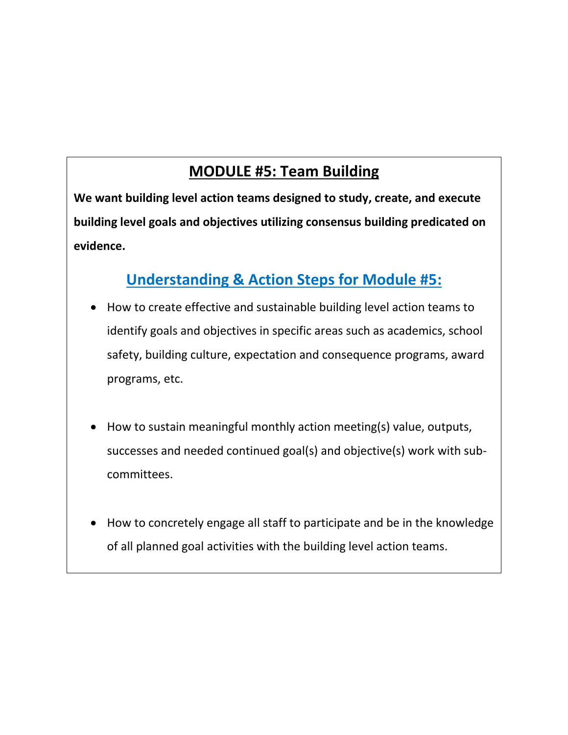## **MODULE #5: Team Building**

**We want building level action teams designed to study, create, and execute building level goals and objectives utilizing consensus building predicated on evidence.** 

### **Understanding & Action Steps for Module #5:**

- How to create effective and sustainable building level action teams to identify goals and objectives in specific areas such as academics, school safety, building culture, expectation and consequence programs, award programs, etc.
- How to sustain meaningful monthly action meeting(s) value, outputs, successes and needed continued goal(s) and objective(s) work with subcommittees.
- How to concretely engage all staff to participate and be in the knowledge of all planned goal activities with the building level action teams.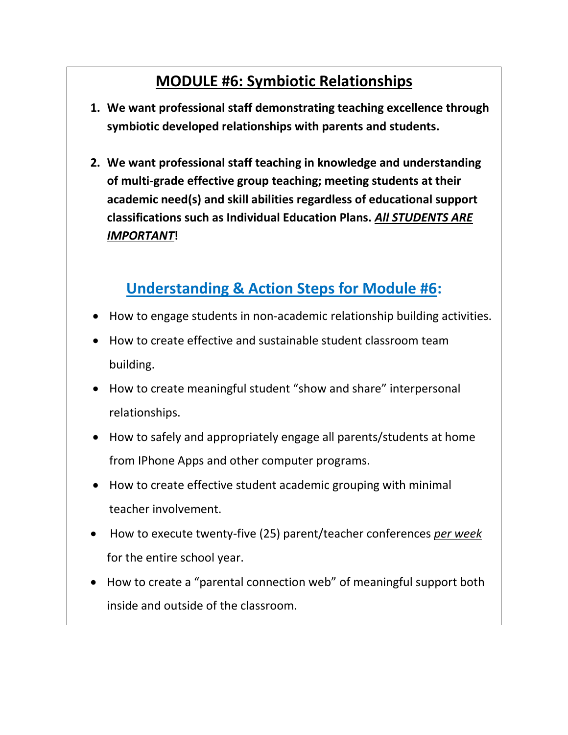# **MODULE #6: Symbiotic Relationships**

- **1. We want professional staff demonstrating teaching excellence through symbiotic developed relationships with parents and students.**
- **2. We want professional staff teaching in knowledge and understanding of multi-grade effective group teaching; meeting students at their academic need(s) and skill abilities regardless of educational support classifications such as Individual Education Plans.** *All STUDENTS ARE IMPORTANT***!**

## **Understanding & Action Steps for Module #6:**

- How to engage students in non-academic relationship building activities.
- How to create effective and sustainable student classroom team building.
- How to create meaningful student "show and share" interpersonal relationships.
- How to safely and appropriately engage all parents/students at home from IPhone Apps and other computer programs.
- How to create effective student academic grouping with minimal teacher involvement.
- How to execute twenty-five (25) parent/teacher conferences *per week* for the entire school year.
- How to create a "parental connection web" of meaningful support both inside and outside of the classroom.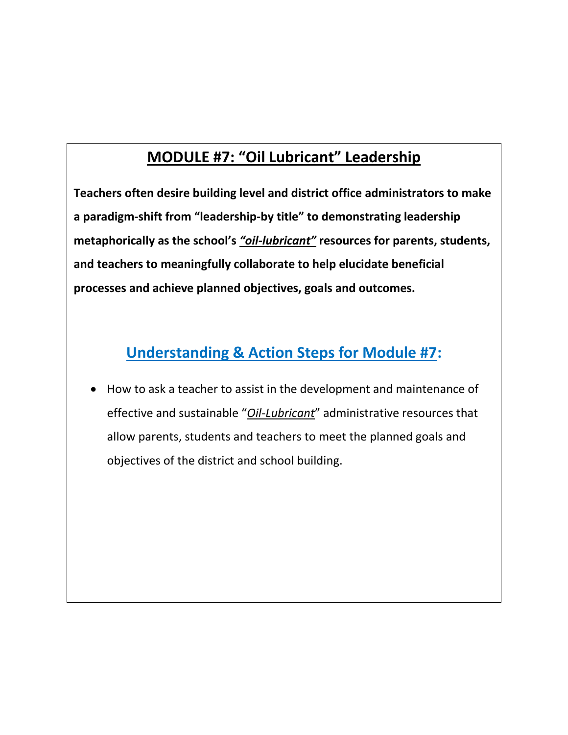# **MODULE #7: "Oil Lubricant" Leadership**

**Teachers often desire building level and district office administrators to make a paradigm-shift from "leadership-by title" to demonstrating leadership metaphorically as the school's** *"oil-lubricant"* **resources for parents, students, and teachers to meaningfully collaborate to help elucidate beneficial processes and achieve planned objectives, goals and outcomes.**

### **Understanding & Action Steps for Module #7:**

 How to ask a teacher to assist in the development and maintenance of effective and sustainable "*Oil-Lubricant*" administrative resources that allow parents, students and teachers to meet the planned goals and objectives of the district and school building.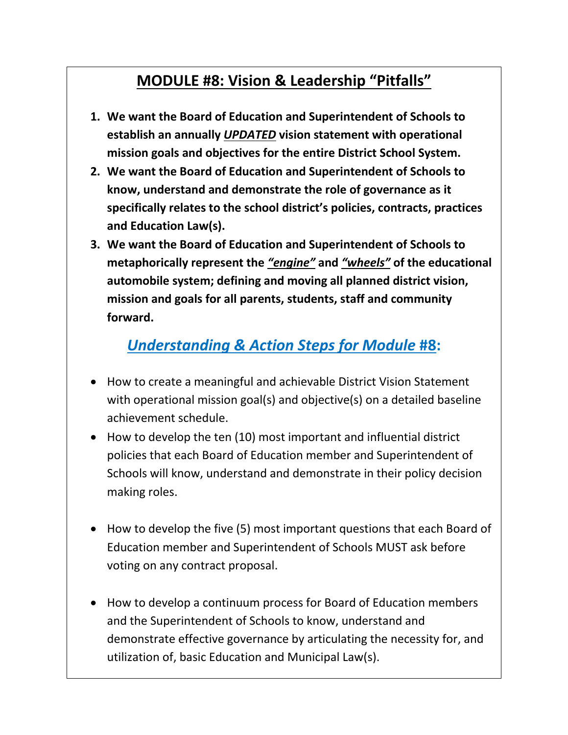## **MODULE #8: Vision & Leadership "Pitfalls"**

- **1. We want the Board of Education and Superintendent of Schools to establish an annually** *UPDATED* **vision statement with operational mission goals and objectives for the entire District School System.**
- **2. We want the Board of Education and Superintendent of Schools to know, understand and demonstrate the role of governance as it specifically relates to the school district's policies, contracts, practices and Education Law(s).**
- **3. We want the Board of Education and Superintendent of Schools to metaphorically represent the** *"engine"* **and** *"wheels"* **of the educational automobile system; defining and moving all planned district vision, mission and goals for all parents, students, staff and community forward.**

### *Understanding & Action Steps for Module* **#8:**

- How to create a meaningful and achievable District Vision Statement with operational mission goal(s) and objective(s) on a detailed baseline achievement schedule.
- How to develop the ten (10) most important and influential district policies that each Board of Education member and Superintendent of Schools will know, understand and demonstrate in their policy decision making roles.
- How to develop the five (5) most important questions that each Board of Education member and Superintendent of Schools MUST ask before voting on any contract proposal.
- How to develop a continuum process for Board of Education members and the Superintendent of Schools to know, understand and demonstrate effective governance by articulating the necessity for, and utilization of, basic Education and Municipal Law(s).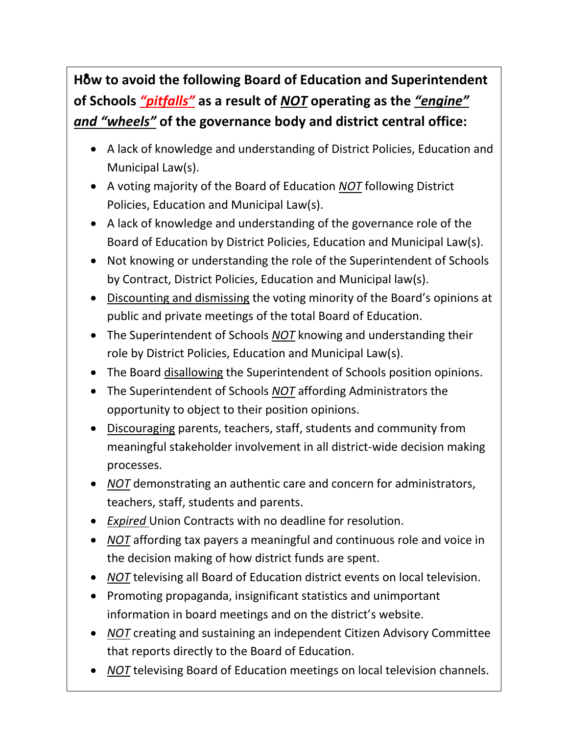# **How to avoid the following Board of Education and Superintendent of Schools** *"pitfalls"* **as a result of** *NOT* **operating as the** *"engine" and "wheels"* **of the governance body and district central office:**

- A lack of knowledge and understanding of District Policies, Education and Municipal Law(s).
- A voting majority of the Board of Education *NOT* following District Policies, Education and Municipal Law(s).
- A lack of knowledge and understanding of the governance role of the Board of Education by District Policies, Education and Municipal Law(s).
- Not knowing or understanding the role of the Superintendent of Schools by Contract, District Policies, Education and Municipal law(s).
- Discounting and dismissing the voting minority of the Board's opinions at public and private meetings of the total Board of Education.
- The Superintendent of Schools *NOT* knowing and understanding their role by District Policies, Education and Municipal Law(s).
- The Board disallowing the Superintendent of Schools position opinions.
- The Superintendent of Schools *NOT* affording Administrators the opportunity to object to their position opinions.
- Discouraging parents, teachers, staff, students and community from meaningful stakeholder involvement in all district-wide decision making processes.
- *NOT* demonstrating an authentic care and concern for administrators, teachers, staff, students and parents.
- *Expired* Union Contracts with no deadline for resolution.
- *NOT* affording tax payers a meaningful and continuous role and voice in the decision making of how district funds are spent.
- *NOT* televising all Board of Education district events on local television.
- Promoting propaganda, insignificant statistics and unimportant information in board meetings and on the district's website.
- *NOT* creating and sustaining an independent Citizen Advisory Committee that reports directly to the Board of Education.
- *NOT* televising Board of Education meetings on local television channels.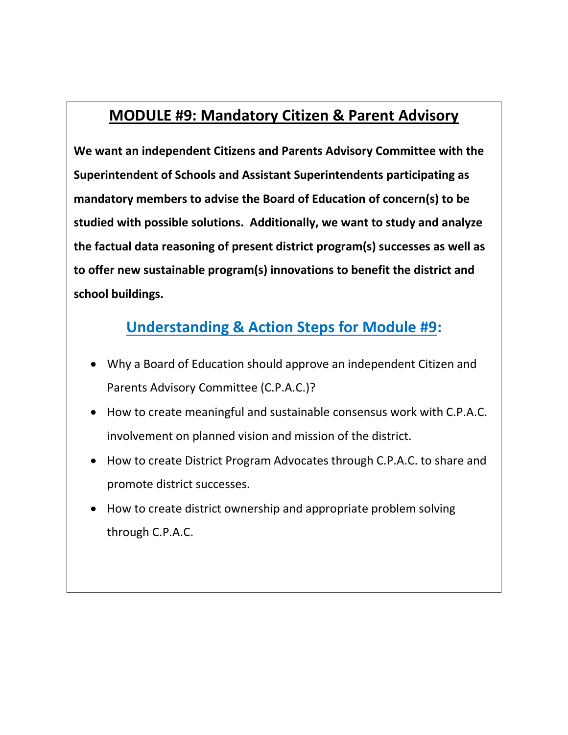#### **MODULE #9: Mandatory Citizen & Parent Advisory**

**We want an independent Citizens and Parents Advisory Committee with the Superintendent of Schools and Assistant Superintendents participating as mandatory members to advise the Board of Education of concern(s) to be studied with possible solutions. Additionally, we want to study and analyze the factual data reasoning of present district program(s) successes as well as to offer new sustainable program(s) innovations to benefit the district and school buildings.**

# **Understanding & Action Steps for Module #9:**

- Why a Board of Education should approve an independent Citizen and Parents Advisory Committee (C.P.A.C.)?
- How to create meaningful and sustainable consensus work with C.P.A.C. involvement on planned vision and mission of the district.
- How to create District Program Advocates through C.P.A.C. to share and promote district successes.
- How to create district ownership and appropriate problem solving through C.P.A.C.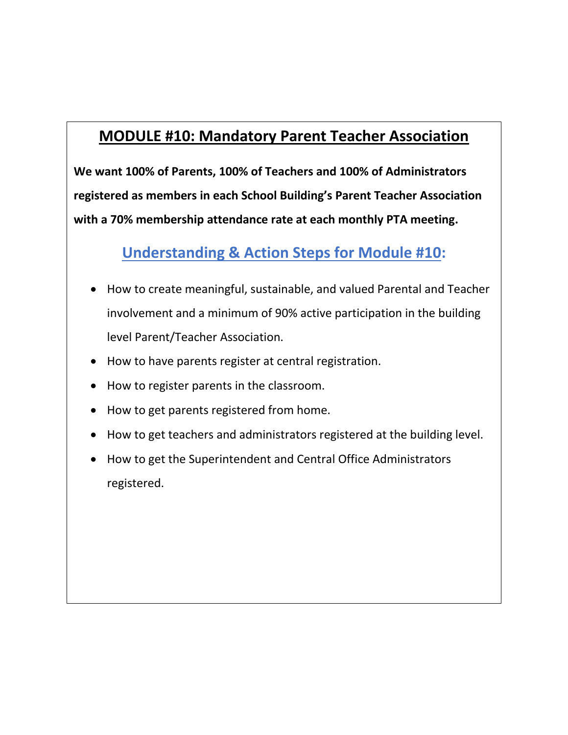### **MODULE #10: Mandatory Parent Teacher Association**

**We want 100% of Parents, 100% of Teachers and 100% of Administrators registered as members in each School Building's Parent Teacher Association with a 70% membership attendance rate at each monthly PTA meeting.**

### **Understanding & Action Steps for Module #10:**

- How to create meaningful, sustainable, and valued Parental and Teacher involvement and a minimum of 90% active participation in the building level Parent/Teacher Association.
- How to have parents register at central registration.
- How to register parents in the classroom.
- How to get parents registered from home.
- How to get teachers and administrators registered at the building level.
- How to get the Superintendent and Central Office Administrators registered.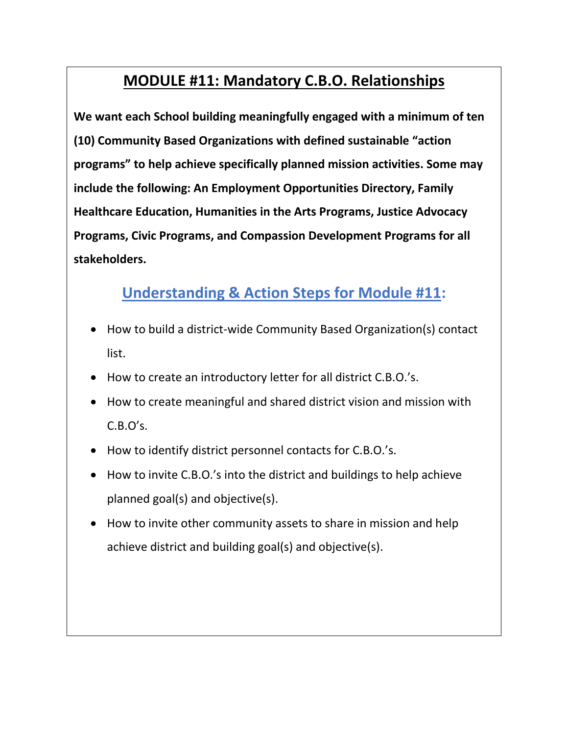## **MODULE #11: Mandatory C.B.O. Relationships**

**We want each School building meaningfully engaged with a minimum of ten (10) Community Based Organizations with defined sustainable "action programs" to help achieve specifically planned mission activities. Some may include the following: An Employment Opportunities Directory, Family Healthcare Education, Humanities in the Arts Programs, Justice Advocacy Programs, Civic Programs, and Compassion Development Programs for all stakeholders.**

#### **Understanding & Action Steps for Module #11:**

- How to build a district-wide Community Based Organization(s) contact list.
- How to create an introductory letter for all district C.B.O.'s.
- How to create meaningful and shared district vision and mission with  $C.B.O's.$
- How to identify district personnel contacts for C.B.O.'s.
- How to invite C.B.O.'s into the district and buildings to help achieve planned goal(s) and objective(s).
- How to invite other community assets to share in mission and help achieve district and building goal(s) and objective(s).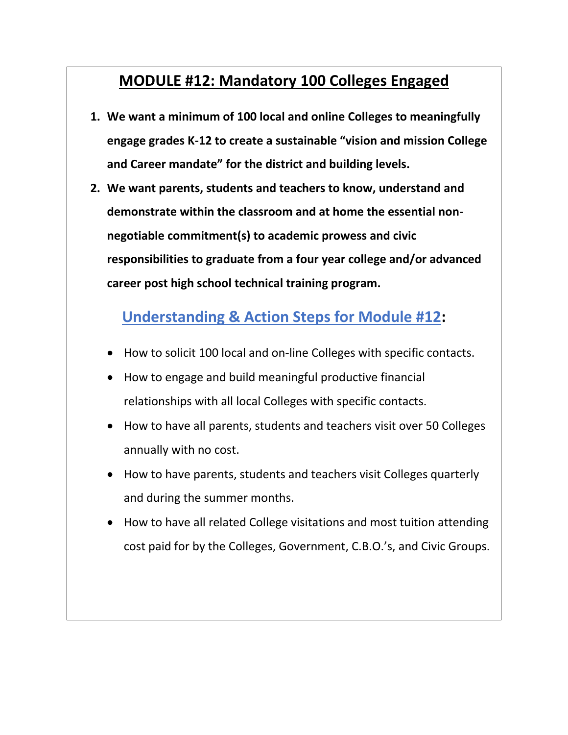#### **MODULE #12: Mandatory 100 Colleges Engaged**

- **1. We want a minimum of 100 local and online Colleges to meaningfully engage grades K-12 to create a sustainable "vision and mission College and Career mandate" for the district and building levels.**
- **2. We want parents, students and teachers to know, understand and demonstrate within the classroom and at home the essential nonnegotiable commitment(s) to academic prowess and civic responsibilities to graduate from a four year college and/or advanced career post high school technical training program.**

### **Understanding & Action Steps for Module #12:**

- How to solicit 100 local and on-line Colleges with specific contacts.
- How to engage and build meaningful productive financial relationships with all local Colleges with specific contacts.
- How to have all parents, students and teachers visit over 50 Colleges annually with no cost.
- How to have parents, students and teachers visit Colleges quarterly and during the summer months.
- How to have all related College visitations and most tuition attending cost paid for by the Colleges, Government, C.B.O.'s, and Civic Groups.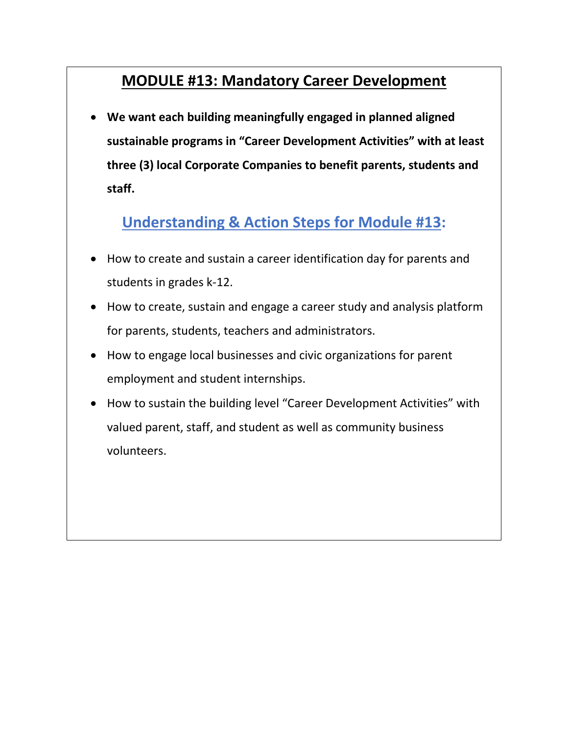#### **MODULE #13: Mandatory Career Development**

 **We want each building meaningfully engaged in planned aligned sustainable programs in "Career Development Activities" with at least three (3) local Corporate Companies to benefit parents, students and staff.** 

#### **Understanding & Action Steps for Module #13:**

- How to create and sustain a career identification day for parents and students in grades k-12.
- How to create, sustain and engage a career study and analysis platform for parents, students, teachers and administrators.
- How to engage local businesses and civic organizations for parent employment and student internships.
- How to sustain the building level "Career Development Activities" with valued parent, staff, and student as well as community business volunteers.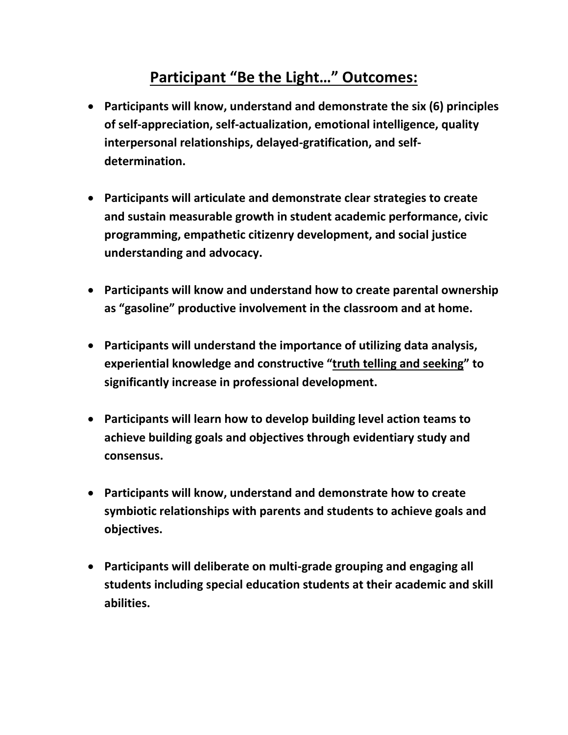## **Participant "Be the Light…" Outcomes:**

- **Participants will know, understand and demonstrate the six (6) principles of self-appreciation, self-actualization, emotional intelligence, quality interpersonal relationships, delayed-gratification, and selfdetermination.**
- **Participants will articulate and demonstrate clear strategies to create and sustain measurable growth in student academic performance, civic programming, empathetic citizenry development, and social justice understanding and advocacy.**
- **Participants will know and understand how to create parental ownership as "gasoline" productive involvement in the classroom and at home.**
- **Participants will understand the importance of utilizing data analysis, experiential knowledge and constructive "truth telling and seeking" to significantly increase in professional development.**
- **Participants will learn how to develop building level action teams to achieve building goals and objectives through evidentiary study and consensus.**
- **Participants will know, understand and demonstrate how to create symbiotic relationships with parents and students to achieve goals and objectives.**
- **Participants will deliberate on multi-grade grouping and engaging all students including special education students at their academic and skill abilities.**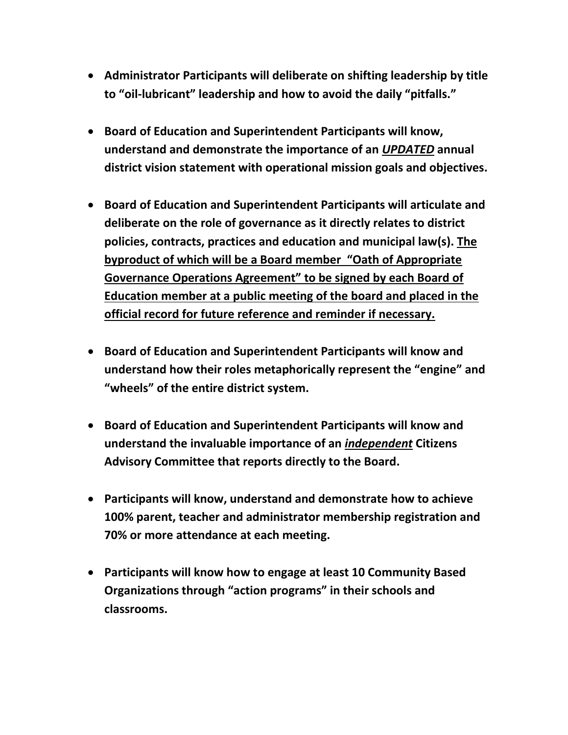- **Administrator Participants will deliberate on shifting leadership by title to "oil-lubricant" leadership and how to avoid the daily "pitfalls."**
- **Board of Education and Superintendent Participants will know, understand and demonstrate the importance of an** *UPDATED* **annual district vision statement with operational mission goals and objectives.**
- **Board of Education and Superintendent Participants will articulate and deliberate on the role of governance as it directly relates to district policies, contracts, practices and education and municipal law(s). The byproduct of which will be a Board member "Oath of Appropriate Governance Operations Agreement" to be signed by each Board of Education member at a public meeting of the board and placed in the official record for future reference and reminder if necessary.**
- **Board of Education and Superintendent Participants will know and understand how their roles metaphorically represent the "engine" and "wheels" of the entire district system.**
- **Board of Education and Superintendent Participants will know and understand the invaluable importance of an** *independent* **Citizens Advisory Committee that reports directly to the Board.**
- **Participants will know, understand and demonstrate how to achieve 100% parent, teacher and administrator membership registration and 70% or more attendance at each meeting.**
- **Participants will know how to engage at least 10 Community Based Organizations through "action programs" in their schools and classrooms.**